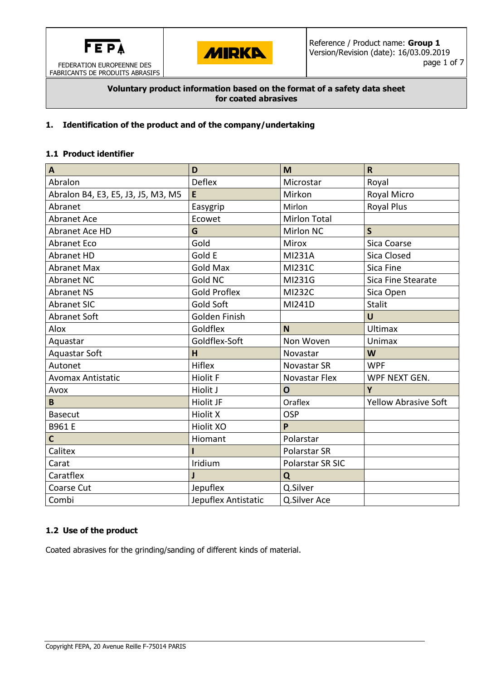

FEDERATION EUROPEENNE DES FABRICANTS DE PRODUITS ABRASIFS



## **Voluntary product information based on the format of a safety data sheet for coated abrasives**

# **1. Identification of the product and of the company/undertaking**

## **1.1 Product identifier**

| A                                  | D                   | M                   | $\mathbf R$                 |  |
|------------------------------------|---------------------|---------------------|-----------------------------|--|
| Abralon                            | <b>Deflex</b>       | Microstar           | Royal                       |  |
| Abralon B4, E3, E5, J3, J5, M3, M5 | E                   | Mirkon              | Royal Micro                 |  |
| Abranet                            | Easygrip            | Mirlon              | <b>Royal Plus</b>           |  |
| <b>Abranet Ace</b>                 | Ecowet              | <b>Mirlon Total</b> |                             |  |
| <b>Abranet Ace HD</b>              | G                   | <b>Mirlon NC</b>    | $\mathsf{S}$                |  |
| <b>Abranet Eco</b>                 | Gold                | <b>Mirox</b>        | Sica Coarse                 |  |
| <b>Abranet HD</b>                  | Gold E              | <b>MI231A</b>       | <b>Sica Closed</b>          |  |
| <b>Abranet Max</b>                 | <b>Gold Max</b>     | MI231C              | Sica Fine                   |  |
| <b>Abranet NC</b>                  | Gold NC             | MI231G              | Sica Fine Stearate          |  |
| <b>Abranet NS</b>                  | <b>Gold Proflex</b> | <b>MI232C</b>       | Sica Open                   |  |
| <b>Abranet SIC</b>                 | Gold Soft           | MI241D              | <b>Stalit</b>               |  |
| Abranet Soft                       | Golden Finish       |                     | $\overline{U}$              |  |
| Alox                               | Goldflex            | <b>N</b>            | <b>Ultimax</b>              |  |
| Aquastar                           | Goldflex-Soft       | Non Woven           | <b>Unimax</b>               |  |
| Aquastar Soft                      | H.                  | Novastar            | W                           |  |
| Autonet                            | Hiflex              | Novastar SR         | <b>WPF</b>                  |  |
| <b>Avomax Antistatic</b>           | <b>Hiolit F</b>     | Novastar Flex       | WPF NEXT GEN.               |  |
| Avox                               | Hiolit J            | $\mathbf{o}$        | Y                           |  |
| B                                  | Hiolit JF           | Oraflex             | <b>Yellow Abrasive Soft</b> |  |
| <b>Basecut</b>                     | <b>Hiolit X</b>     | <b>OSP</b>          |                             |  |
| B961 E                             | <b>Hiolit XO</b>    | P                   |                             |  |
| $\mathsf{C}$                       | Hiomant             | Polarstar           |                             |  |
| Calitex                            |                     | Polarstar SR        |                             |  |
| Carat                              | Iridium             | Polarstar SR SIC    |                             |  |
| Caratflex                          |                     | Q                   |                             |  |
| Coarse Cut                         | Jepuflex            | Q.Silver            |                             |  |
| Combi                              | Jepuflex Antistatic | Q.Silver Ace        |                             |  |

## **1.2 Use of the product**

Coated abrasives for the grinding/sanding of different kinds of material.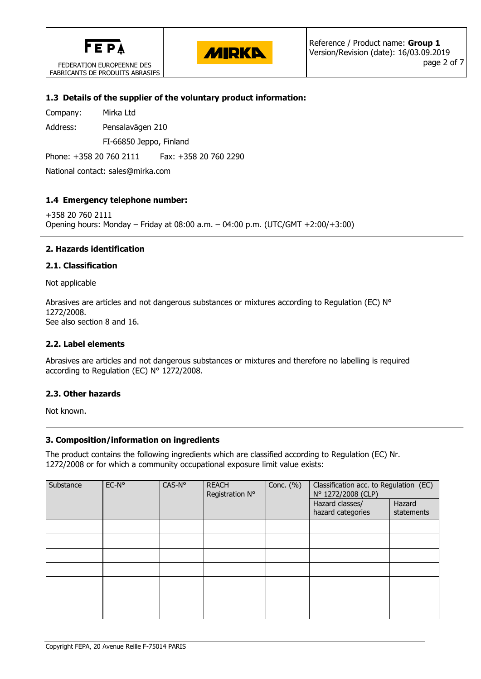

FEDERATION EUROPEENNE DES FABRICANTS DE PRODUITS ABRASIFS



## **1.3 Details of the supplier of the voluntary product information:**

Company: Mirka Ltd

Address: Pensalavägen 210

FI-66850 Jeppo, Finland

Phone: +358 20 760 2111 Fax: +358 20 760 2290

National contact: sales@mirka.com

## **1.4 Emergency telephone number:**

+358 20 760 2111 Opening hours: Monday – Friday at 08:00 a.m. – 04:00 p.m. (UTC/GMT +2:00/+3:00)

## **2. Hazards identification**

### **2.1. Classification**

Not applicable

Abrasives are articles and not dangerous substances or mixtures according to Regulation (EC) N° 1272/2008. See also section 8 and 16.

### **2.2. Label elements**

Abrasives are articles and not dangerous substances or mixtures and therefore no labelling is required according to Regulation (EC) N° 1272/2008.

#### **2.3. Other hazards**

Not known.

#### **3. Composition/information on ingredients**

The product contains the following ingredients which are classified according to Regulation (EC) Nr. 1272/2008 or for which a community occupational exposure limit value exists:

| Substance | CAS-N°<br>EC-N°<br><b>REACH</b><br>Registration N° |  | Conc. $(\% )$                        | Classification acc. to Regulation (EC)<br>N° 1272/2008 (CLP) |  |  |
|-----------|----------------------------------------------------|--|--------------------------------------|--------------------------------------------------------------|--|--|
|           |                                                    |  | Hazard classes/<br>hazard categories | Hazard<br>statements                                         |  |  |
|           |                                                    |  |                                      |                                                              |  |  |
|           |                                                    |  |                                      |                                                              |  |  |
|           |                                                    |  |                                      |                                                              |  |  |
|           |                                                    |  |                                      |                                                              |  |  |
|           |                                                    |  |                                      |                                                              |  |  |
|           |                                                    |  |                                      |                                                              |  |  |
|           |                                                    |  |                                      |                                                              |  |  |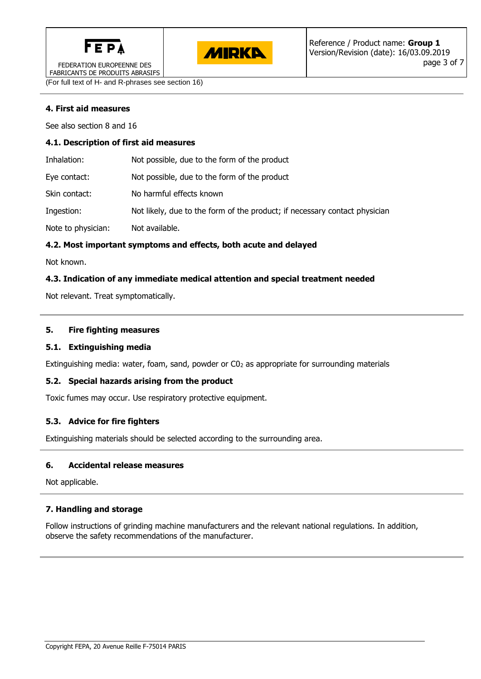



FEDERATION EUROPEENNE DES FABRICANTS DE PRODUITS ABRASIFS

(For full text of H- and R-phrases see section 16)

## **4. First aid measures**

See also section 8 and 16

#### **4.1. Description of first aid measures**

| Inhalation:        | Not possible, due to the form of the product                               |
|--------------------|----------------------------------------------------------------------------|
| Eye contact:       | Not possible, due to the form of the product                               |
| Skin contact:      | No harmful effects known                                                   |
| Ingestion:         | Not likely, due to the form of the product; if necessary contact physician |
| Note to physician: | Not available.                                                             |

## **4.2. Most important symptoms and effects, both acute and delayed**

Not known.

## **4.3. Indication of any immediate medical attention and special treatment needed**

Not relevant. Treat symptomatically.

### **5. Fire fighting measures**

#### **5.1. Extinguishing media**

Extinguishing media: water, foam, sand, powder or  $CO<sub>2</sub>$  as appropriate for surrounding materials

#### **5.2. Special hazards arising from the product**

Toxic fumes may occur. Use respiratory protective equipment.

#### **5.3. Advice for fire fighters**

Extinguishing materials should be selected according to the surrounding area.

#### **6. Accidental release measures**

Not applicable.

## **7. Handling and storage**

Follow instructions of grinding machine manufacturers and the relevant national regulations. In addition, observe the safety recommendations of the manufacturer.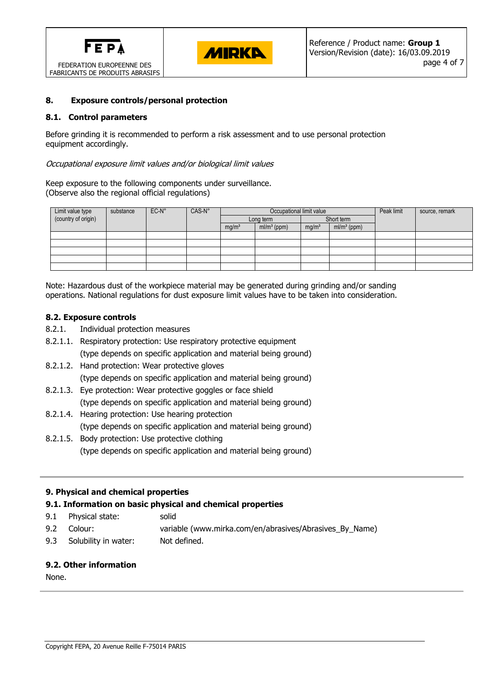



#### **8. Exposure controls/personal protection**

#### **8.1. Control parameters**

Before grinding it is recommended to perform a risk assessment and to use personal protection equipment accordingly.

#### Occupational exposure limit values and/or biological limit values

Keep exposure to the following components under surveillance. (Observe also the regional official regulations)

| Limit value type    | substance | $EC-N^{\circ}$ | CAS-N° | Occupational limit value |               |                   |               | Peak limit | source, remark |
|---------------------|-----------|----------------|--------|--------------------------|---------------|-------------------|---------------|------------|----------------|
| (country of origin) |           |                |        | Long term                |               | Short term        |               |            |                |
|                     |           |                |        | mg/m <sup>3</sup>        | $ml/m3$ (ppm) | mg/m <sup>3</sup> | $ml/m3$ (ppm) |            |                |
|                     |           |                |        |                          |               |                   |               |            |                |
|                     |           |                |        |                          |               |                   |               |            |                |
|                     |           |                |        |                          |               |                   |               |            |                |
|                     |           |                |        |                          |               |                   |               |            |                |
|                     |           |                |        |                          |               |                   |               |            |                |

Note: Hazardous dust of the workpiece material may be generated during grinding and/or sanding operations. National regulations for dust exposure limit values have to be taken into consideration.

#### **8.2. Exposure controls**

- 8.2.1. Individual protection measures
- 8.2.1.1. Respiratory protection: Use respiratory protective equipment (type depends on specific application and material being ground)
- 8.2.1.2. Hand protection: Wear protective gloves (type depends on specific application and material being ground)
- 8.2.1.3. Eye protection: Wear protective goggles or face shield (type depends on specific application and material being ground)
- 8.2.1.4. Hearing protection: Use hearing protection (type depends on specific application and material being ground)
- 8.2.1.5. Body protection: Use protective clothing (type depends on specific application and material being ground)

#### **9. Physical and chemical properties**

#### **9.1. Information on basic physical and chemical properties**

- 9.1 Physical state: solid
- 9.2 Colour: variable (www.mirka.com/en/abrasives/Abrasives\_By\_Name)
- 9.3 Solubility in water: Not defined.

#### **9.2. Other information**

None.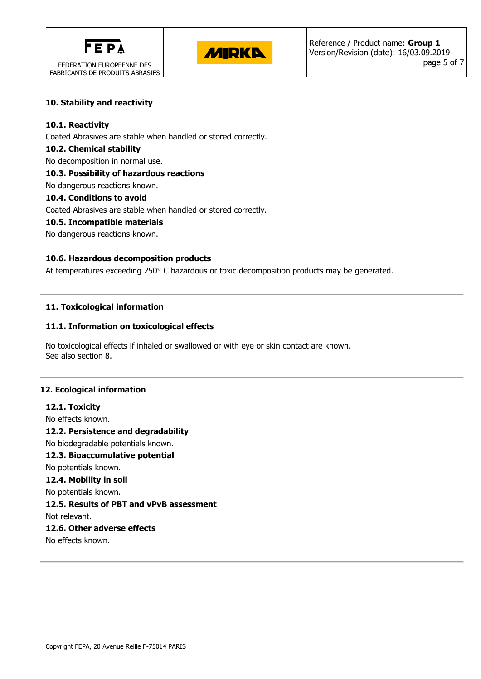



## **10. Stability and reactivity**

### **10.1. Reactivity**

Coated Abrasives are stable when handled or stored correctly.

#### **10.2. Chemical stability**

No decomposition in normal use.

## **10.3. Possibility of hazardous reactions**

No dangerous reactions known.

## **10.4. Conditions to avoid**

Coated Abrasives are stable when handled or stored correctly.

## **10.5. Incompatible materials**

No dangerous reactions known.

#### **10.6. Hazardous decomposition products**

At temperatures exceeding 250° C hazardous or toxic decomposition products may be generated.

## **11. Toxicological information**

## **11.1. Information on toxicological effects**

No toxicological effects if inhaled or swallowed or with eye or skin contact are known. See also section 8.

#### **12. Ecological information**

**12.1. Toxicity** No effects known. **12.2. Persistence and degradability** No biodegradable potentials known. **12.3. Bioaccumulative potential** No potentials known. **12.4. Mobility in soil** No potentials known. **12.5. Results of PBT and vPvB assessment** Not relevant. **12.6. Other adverse effects**

No effects known.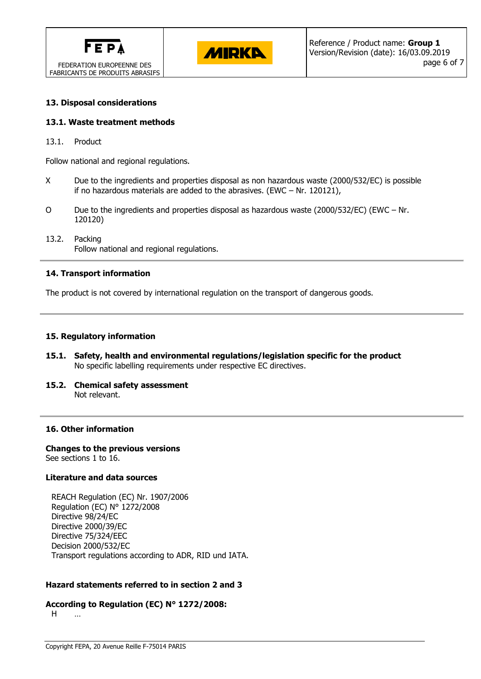



#### **13. Disposal considerations**

#### **13.1. Waste treatment methods**

13.1. Product

Follow national and regional regulations.

- X Due to the ingredients and properties disposal as non hazardous waste (2000/532/EC) is possible if no hazardous materials are added to the abrasives. (EWC – Nr. 120121),
- O Due to the ingredients and properties disposal as hazardous waste (2000/532/EC) (EWC Nr. 120120)
- 13.2. Packing Follow national and regional regulations.

#### **14. Transport information**

The product is not covered by international regulation on the transport of dangerous goods.

#### **15. Regulatory information**

- **15.1. Safety, health and environmental regulations/legislation specific for the product** No specific labelling requirements under respective EC directives.
- **15.2. Chemical safety assessment** Not relevant.

#### **16. Other information**

**Changes to the previous versions** See sections 1 to 16.

#### **Literature and data sources**

REACH Regulation (EC) Nr. 1907/2006 Regulation (EC) N° 1272/2008 Directive 98/24/EC Directive 2000/39/EC Directive 75/324/EEC Decision 2000/532/EC Transport regulations according to ADR, RID und IATA.

#### **Hazard statements referred to in section 2 and 3**

#### **According to Regulation (EC) N° 1272/2008:**

H …